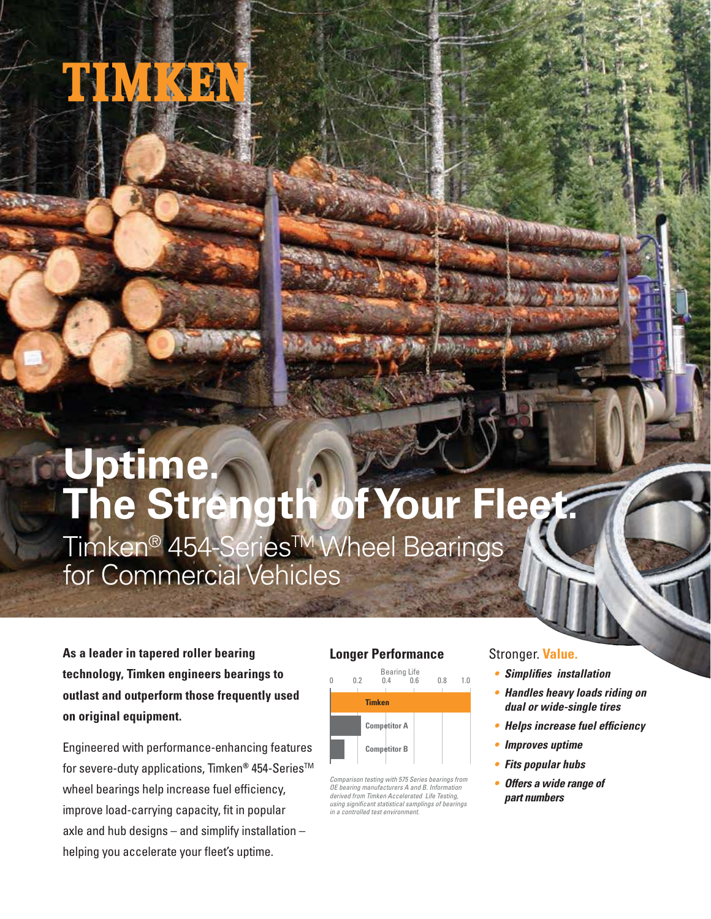# **Uptime. The Strength of Your Fleet.** Timken® 454-Series<sup>™</sup> Wheel Bearings for Commercial Vehicles

**As a leader in tapered roller bearing technology, Timken engineers bearings to outlast and outperform those frequently used on original equipment.** 

Engineered with performance-enhancing features for severe-duty applications, Timken<sup>®</sup> 454-Series<sup>™</sup> wheel bearings help increase fuel efficiency, improve load-carrying capacity, fit in popular axle and hub designs – and simplify installation – helping you accelerate your fleet's uptime.

### **Longer Performance**



Comparison testing with 575 Series bearings from OE bearing manufacturers A and B. Information derived from Timken Accelerated Life Testing, using significant statistical samplings of bearings domy *significances*:

#### Stronger. **Value.**

**District Line** 

**30 ST** 

- **Simplifies installation**
- **Handles heavy loads riding on dual or wide-single tires**
- **Helps increase fuel efficiency**
- **Improves uptime**
- **Fits popular hubs**
- **Offers a wide range of part numbers**